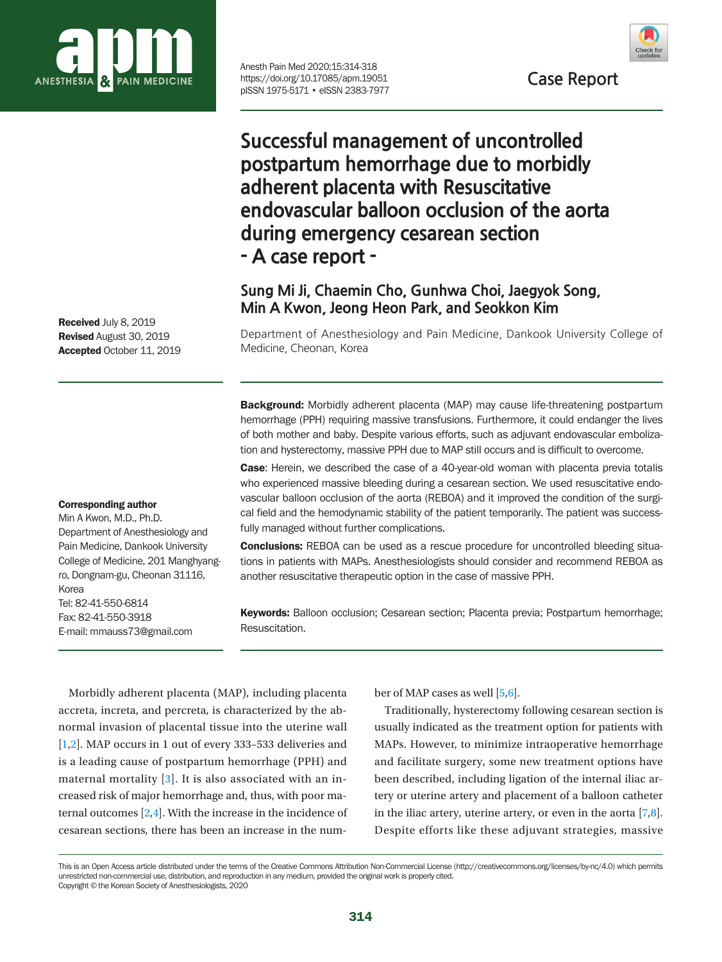

Anesth Pain Med 2020;15:314-318 https://doi.org/10.17085/apm.19051 pISSN 1975-5171 • eISSN 2383-7977



**Successful management of uncontrolled postpartum hemorrhage due to morbidly adherent placenta with Resuscitative endovascular balloon occlusion of the aorta during emergency cesarean section - A case report -** 

# **Sung Mi Ji, Chaemin Cho, Gunhwa Choi, Jaegyok Song, Min A Kwon, Jeong Heon Park, and Seokkon Kim**

Department of Anesthesiology and Pain Medicine, Dankook University College of Medicine, Cheonan, Korea

**Background:** Morbidly adherent placenta (MAP) may cause life-threatening postpartum hemorrhage (PPH) requiring massive transfusions. Furthermore, it could endanger the lives of both mother and baby. Despite various efforts, such as adjuvant endovascular embolization and hysterectomy, massive PPH due to MAP still occurs and is difficult to overcome.

Case: Herein, we described the case of a 40-year-old woman with placenta previa totalis who experienced massive bleeding during a cesarean section. We used resuscitative endovascular balloon occlusion of the aorta (REBOA) and it improved the condition of the surgical field and the hemodynamic stability of the patient temporarily. The patient was successfully managed without further complications.

**Conclusions:** REBOA can be used as a rescue procedure for uncontrolled bleeding situations in patients with MAPs. Anesthesiologists should consider and recommend REBOA as another resuscitative therapeutic option in the case of massive PPH.

Keywords: Balloon occlusion; Cesarean section; Placenta previa; Postpartum hemorrhage; Resuscitation.

Morbidly adherent placenta (MAP), including placenta accreta, increta, and percreta, is characterized by the abnormal invasion of placental tissue into the uterine wall [\[1](#page-3-0)[,2](#page-4-0)]. MAP occurs in 1 out of every 333–533 deliveries and is a leading cause of postpartum hemorrhage (PPH) and maternal mortality [\[3](#page-4-1)]. It is also associated with an increased risk of major hemorrhage and, thus, with poor maternal outcomes [\[2](#page-4-0)[,4\]](#page-4-2). With the increase in the incidence of cesarean sections, there has been an increase in the number of MAP cases as well [\[5](#page-3-0)[,6\]](#page-4-3).

Traditionally, hysterectomy following cesarean section is usually indicated as the treatment option for patients with MAPs. However, to minimize intraoperative hemorrhage and facilitate surgery, some new treatment options have been described, including ligation of the internal iliac artery or uterine artery and placement of a balloon catheter in the iliac artery, uterine artery, or even in the aorta  $[7,8]$  $[7,8]$ . Despite efforts like these adjuvant strategies, massive

Received July 8, 2019 Revised August 30, 2019 Accepted October 11, 2019

#### Corresponding author

Min A Kwon, M.D., Ph.D. Department of Anesthesiology and Pain Medicine, Dankook University College of Medicine, 201 Manghyangro, Dongnam-gu, Cheonan 31116, Korea Tel: 82-41-550-6814 Fax: 82-41-550-3918 E-mail: mmauss73@gmail.com

This is an Open Access article distributed under the terms of the Creative Commons Attribution Non-Commercial License (http://creativecommons.org/licenses/by-nc/4.0) which permits unrestricted non-commercial use, distribution, and reproduction in any medium, provided the original work is properly cited. Copyright © the Korean Society of Anesthesiologists, 2020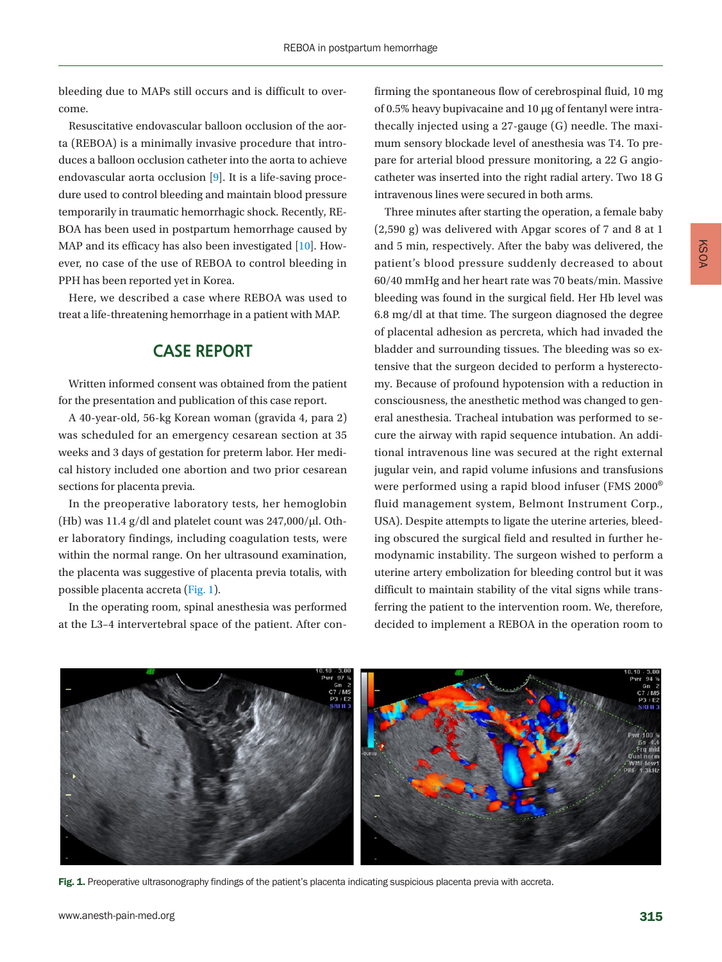bleeding due to MAPs still occurs and is difficult to overcome.

Resuscitative endovascular balloon occlusion of the aorta (REBOA) is a minimally invasive procedure that introduces a balloon occlusion catheter into the aorta to achieve endovascular aorta occlusion [\[9\]](#page-4-6). It is a life-saving procedure used to control bleeding and maintain blood pressure temporarily in traumatic hemorrhagic shock. Recently, RE-BOA has been used in postpartum hemorrhage caused by MAP and its efficacy has also been investigated [\[10\]](#page-4-7). However, no case of the use of REBOA to control bleeding in PPH has been reported yet in Korea.

Here, we described a case where REBOA was used to treat a life-threatening hemorrhage in a patient with MAP.

#### **CASE REPORT**

Written informed consent was obtained from the patient for the presentation and publication of this case report.

A 40-year-old, 56-kg Korean woman (gravida 4, para 2) was scheduled for an emergency cesarean section at 35 weeks and 3 days of gestation for preterm labor. Her medical history included one abortion and two prior cesarean sections for placenta previa.

In the preoperative laboratory tests, her hemoglobin (Hb) was 11.4 g/dl and platelet count was 247,000/μl. Other laboratory findings, including coagulation tests, were within the normal range. On her ultrasound examination, the placenta was suggestive of placenta previa totalis, with possible placenta accreta [\(Fig. 1](#page-1-0)).

In the operating room, spinal anesthesia was performed at the L3–4 intervertebral space of the patient. After con-

firming the spontaneous flow of cerebrospinal fluid, 10 mg of 0.5% heavy bupivacaine and 10 μg of fentanyl were intrathecally injected using a 27-gauge (G) needle. The maximum sensory blockade level of anesthesia was T4. To prepare for arterial blood pressure monitoring, a 22 G angiocatheter was inserted into the right radial artery. Two 18 G intravenous lines were secured in both arms.

Three minutes after starting the operation, a female baby (2,590 g) was delivered with Apgar scores of 7 and 8 at 1 and 5 min, respectively. After the baby was delivered, the patient's blood pressure suddenly decreased to about 60/40 mmHg and her heart rate was 70 beats/min. Massive bleeding was found in the surgical field. Her Hb level was 6.8 mg/dl at that time. The surgeon diagnosed the degree of placental adhesion as percreta, which had invaded the bladder and surrounding tissues. The bleeding was so extensive that the surgeon decided to perform a hysterectomy. Because of profound hypotension with a reduction in consciousness, the anesthetic method was changed to general anesthesia. Tracheal intubation was performed to secure the airway with rapid sequence intubation. An additional intravenous line was secured at the right external jugular vein, and rapid volume infusions and transfusions were performed using a rapid blood infuser (FMS 2000® fluid management system, Belmont Instrument Corp., USA). Despite attempts to ligate the uterine arteries, bleeding obscured the surgical field and resulted in further hemodynamic instability. The surgeon wished to perform a uterine artery embolization for bleeding control but it was difficult to maintain stability of the vital signs while transferring the patient to the intervention room. We, therefore, decided to implement a REBOA in the operation room to

<span id="page-1-0"></span>

Fig. 1. Preoperative ultrasonography findings of the patient's placenta indicating suspicious placenta previa with accreta.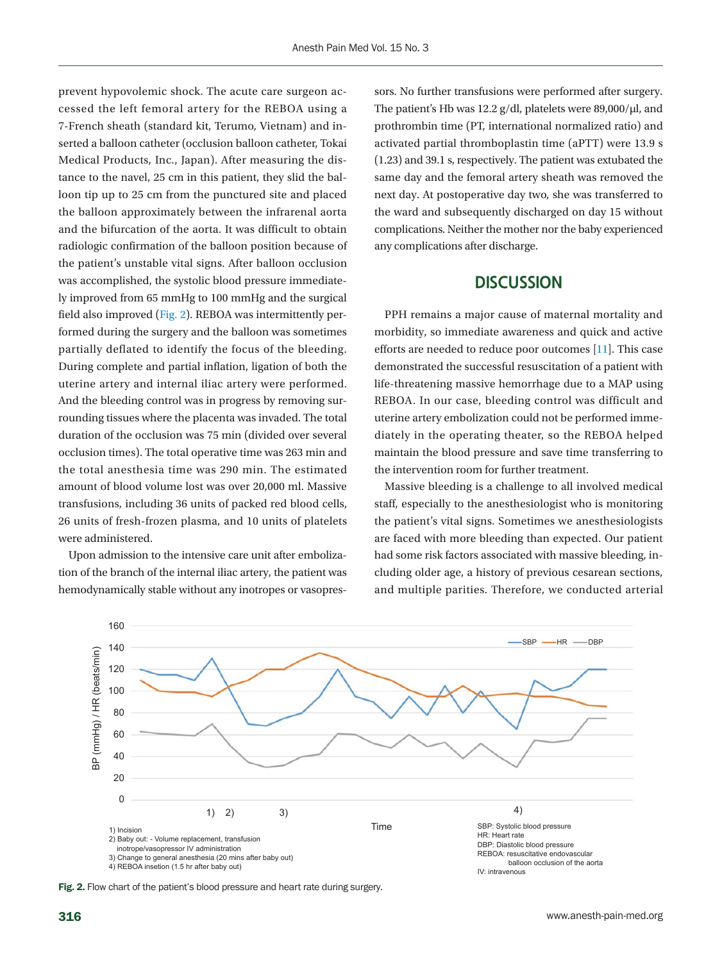prevent hypovolemic shock. The acute care surgeon accessed the left femoral artery for the REBOA using a 7-French sheath (standard kit, Terumo, Vietnam) and inserted a balloon catheter (occlusion balloon catheter, Tokai Medical Products, Inc., Japan). After measuring the distance to the navel, 25 cm in this patient, they slid the balloon tip up to 25 cm from the punctured site and placed the balloon approximately between the infrarenal aorta and the bifurcation of the aorta. It was difficult to obtain radiologic confirmation of the balloon position because of the patient's unstable vital signs. After balloon occlusion was accomplished, the systolic blood pressure immediately improved from 65 mmHg to 100 mmHg and the surgical field also improved (Fig. 2). REBOA was intermittently performed during the surgery and the balloon was sometimes partially deflated to identify the focus of the bleeding. During complete and partial inflation, ligation of both the uterine artery and internal iliac artery were performed. And the bleeding control was in progress by removing surrounding tissues where the placenta was invaded. The total duration of the occlusion was 75 min (divided over several occlusion times). The total operative time was 263 min and the total anesthesia time was 290 min. The estimated amount of blood volume lost was over 20,000 ml. Massive transfusions, including 36 units of packed red blood cells, 26 units of fresh-frozen plasma, and 10 units of platelets were administered.

Upon admission to the intensive care unit after embolization of the branch of the internal iliac artery, the patient was hemodynamically stable without any inotropes or vasopressors. No further transfusions were performed after surgery. The patient's Hb was 12.2 g/dl, platelets were 89,000/μl, and prothrombin time (PT, international normalized ratio) and activated partial thromboplastin time (aPTT) were 13.9 s (1.23) and 39.1 s, respectively. The patient was extubated the same day and the femoral artery sheath was removed the next day. At postoperative day two, she was transferred to the ward and subsequently discharged on day 15 without complications. Neither the mother nor the baby experienced any complications after discharge.

#### **DISCUSSION**

PPH remains a major cause of maternal mortality and morbidity, so immediate awareness and quick and active efforts are needed to reduce poor outcomes [\[11\]](#page-4-8). This case demonstrated the successful resuscitation of a patient with life-threatening massive hemorrhage due to a MAP using REBOA. In our case, bleeding control was difficult and uterine artery embolization could not be performed immediately in the operating theater, so the REBOA helped maintain the blood pressure and save time transferring to the intervention room for further treatment.

Massive bleeding is a challenge to all involved medical staff, especially to the anesthesiologist who is monitoring the patient's vital signs. Sometimes we anesthesiologists are faced with more bleeding than expected. Our patient had some risk factors associated with massive bleeding, including older age, a history of previous cesarean sections, and multiple parities. Therefore, we conducted arterial



Fig. 2. Flow chart of the patient's blood pressure and heart rate during surgery.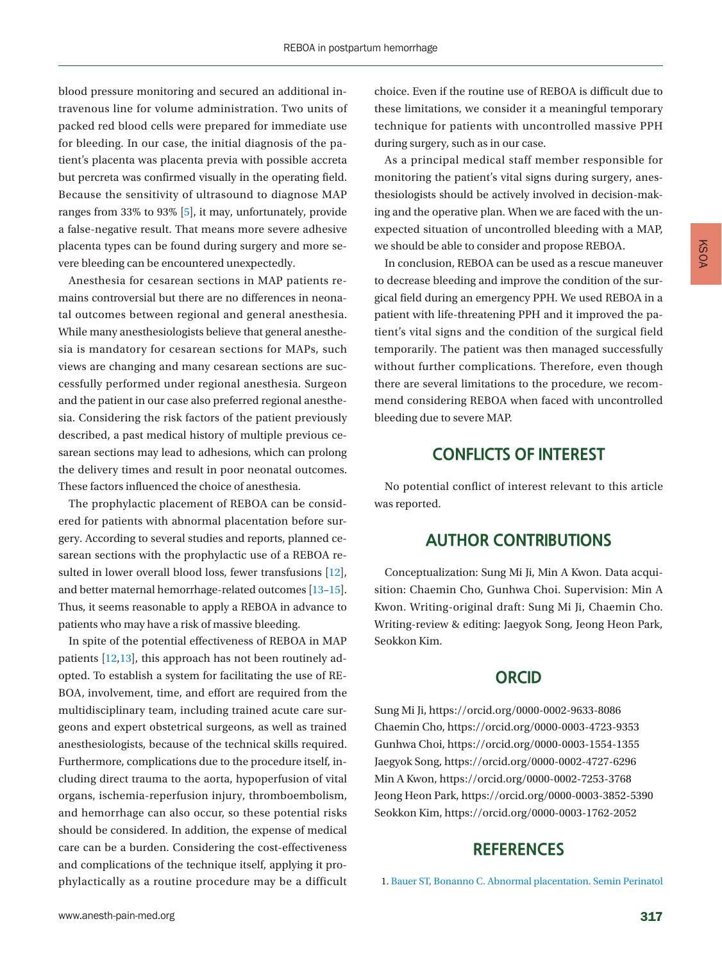blood pressure monitoring and secured an additional intravenous line for volume administration. Two units of packed red blood cells were prepared for immediate use for bleeding. In our case, the initial diagnosis of the patient's placenta was placenta previa with possible accreta but percreta was confirmed visually in the operating field. Because the sensitivity of ultrasound to diagnose MAP ranges from 33% to 93% [5], it may, unfortunately, provide a false-negative result. That means more severe adhesive placenta types can be found during surgery and more severe bleeding can be encountered unexpectedly.

Anesthesia for cesarean sections in MAP patients remains controversial but there are no differences in neonatal outcomes between regional and general anesthesia. While many anesthesiologists believe that general anesthesia is mandatory for cesarean sections for MAPs, such views are changing and many cesarean sections are successfully performed under regional anesthesia. Surgeon and the patient in our case also preferred regional anesthesia. Considering the risk factors of the patient previously described, a past medical history of multiple previous cesarean sections may lead to adhesions, which can prolong the delivery times and result in poor neonatal outcomes. These factors influenced the choice of anesthesia.

The prophylactic placement of REBOA can be considered for patients with abnormal placentation before surgery. According to several studies and reports, planned cesarean sections with the prophylactic use of a REBOA resulted in lower overall blood loss, fewer transfusions [\[12\]](#page-4-8), and better maternal hemorrhage-related outcomes [\[13](#page-4-9)–[15\]](#page-4-10). Thus, it seems reasonable to apply a REBOA in advance to patients who may have a risk of massive bleeding.

In spite of the potential effectiveness of REBOA in MAP patients [\[12,](#page-4-8)[13\]](#page-4-9), this approach has not been routinely adopted. To establish a system for facilitating the use of RE-BOA, involvement, time, and effort are required from the multidisciplinary team, including trained acute care surgeons and expert obstetrical surgeons, as well as trained anesthesiologists, because of the technical skills required. Furthermore, complications due to the procedure itself, including direct trauma to the aorta, hypoperfusion of vital organs, ischemia-reperfusion injury, thromboembolism, and hemorrhage can also occur, so these potential risks should be considered. In addition, the expense of medical care can be a burden. Considering the cost-effectiveness and complications of the technique itself, applying it prophylactically as a routine procedure may be a difficult

As a principal medical staff member responsible for monitoring the patient's vital signs during surgery, anesthesiologists should be actively involved in decision-making and the operative plan. When we are faced with the unexpected situation of uncontrolled bleeding with a MAP, we should be able to consider and propose REBOA.

In conclusion, REBOA can be used as a rescue maneuver to decrease bleeding and improve the condition of the surgical field during an emergency PPH. We used REBOA in a patient with life-threatening PPH and it improved the patient's vital signs and the condition of the surgical field temporarily. The patient was then managed successfully without further complications. Therefore, even though there are several limitations to the procedure, we recommend considering REBOA when faced with uncontrolled bleeding due to severe MAP.

### **CONFLICTS OF INTEREST**

No potential conflict of interest relevant to this article was reported.

## **AUTHOR CONTRIBUTIONS**

Conceptualization: Sung Mi Ji, Min A Kwon. Data acquisition: Chaemin Cho, Gunhwa Choi. Supervision: Min A Kwon. Writing-original draft: Sung Mi Ji, Chaemin Cho. Writing-review & editing: Jaegyok Song, Jeong Heon Park, Seokkon Kim.

#### **ORCID**

Sung Mi Ji, https://orcid.org/0000-0002-9633-8086 Chaemin Cho, https://orcid.org/0000-0003-4723-9353 Gunhwa Choi, https://orcid.org/0000-0003-1554-1355 Jaegyok Song, https://orcid.org/0000-0002-4727-6296 Min A Kwon, https://orcid.org/0000-0002-7253-3768 Jeong Heon Park, https://orcid.org/0000-0003-3852-5390 Seokkon Kim, https://orcid.org/0000-0003-1762-2052

#### **REFERENCES**

<span id="page-3-0"></span>1. Bauer S[T, Bonanno C. Abnormal placentation. Semin Perinatol](https://doi.org/10.1053/j.semperi.2008.12.003)